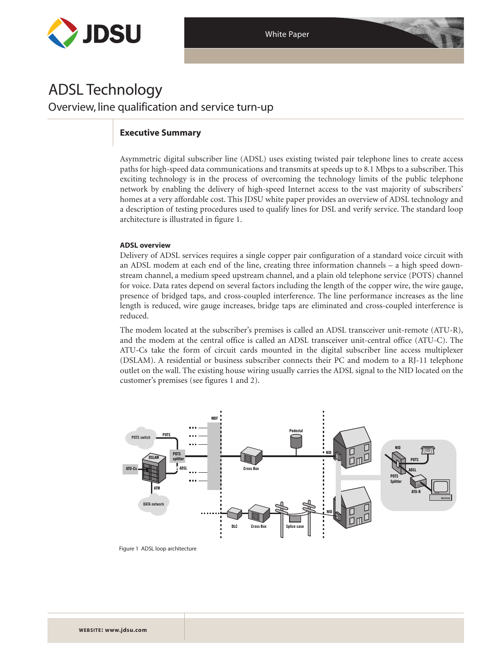

# ADSL Technology Overview, line qualification and service turn-up

## **Executive Summary**

Asymmetric digital subscriber line (ADSL) uses existing twisted pair telephone lines to create access paths for high-speed data communications and transmits at speeds up to 8.1 Mbps to a subscriber. This exciting technology is in the process of overcoming the technology limits of the public telephone network by enabling the delivery of high-speed Internet access to the vast majority of subscribers' homes at a very affordable cost. This JDSU white paper provides an overview of ADSL technology and a description of testing procedures used to qualify lines for DSL and verify service. The standard loop architecture is illustrated in figure 1.

## **ADSL overview**

Delivery of ADSL services requires a single copper pair configuration of a standard voice circuit with an ADSL modem at each end of the line, creating three information channels – a high speed downstream channel, a medium speed upstream channel, and a plain old telephone service (POTS) channel for voice. Data rates depend on several factors including the length of the copper wire, the wire gauge, presence of bridged taps, and cross-coupled interference. The line performance increases as the line length is reduced, wire gauge increases, bridge taps are eliminated and cross-coupled interference is reduced.

The modem located at the subscriber's premises is called an ADSL transceiver unit-remote (ATU-R), and the modem at the central office is called an ADSL transceiver unit-central office (ATU-C). The ATU-Cs take the form of circuit cards mounted in the digital subscriber line access multiplexer (DSLAM). A residential or business subscriber connects their PC and modem to a RJ-11 telephone outlet on the wall. The existing house wiring usually carries the ADSL signal to the NID located on the customer's premises (see figures 1 and 2).



Figure 1 ADSL loop architecture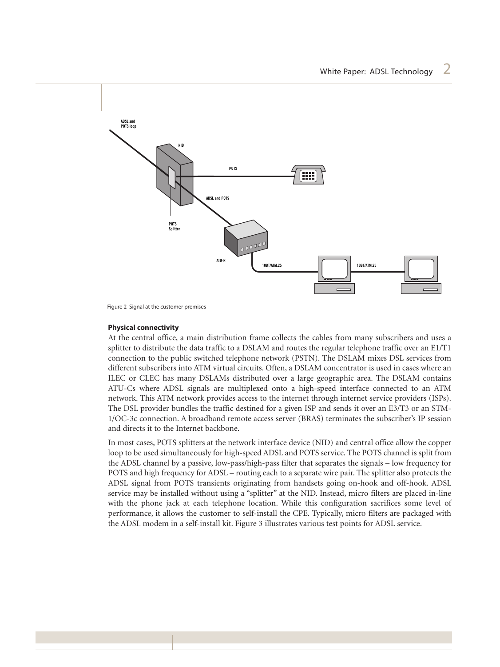

Figure 2 Signal at the customer premises

## **Physical connectivity**

At the central office, a main distribution frame collects the cables from many subscribers and uses a splitter to distribute the data traffic to a DSLAM and routes the regular telephone traffic over an E1/T1 connection to the public switched telephone network (PSTN). The DSLAM mixes DSL services from different subscribers into ATM virtual circuits. Often, a DSLAM concentrator is used in cases where an ILEC or CLEC has many DSLAMs distributed over a large geographic area. The DSLAM contains ATU-Cs where ADSL signals are multiplexed onto a high-speed interface connected to an ATM network. This ATM network provides access to the internet through internet service providers (ISPs). The DSL provider bundles the traffic destined for a given ISP and sends it over an E3/T3 or an STM-1/OC-3c connection. A broadband remote access server (BRAS) terminates the subscriber's IP session and directs it to the Internet backbone.

In most cases, POTS splitters at the network interface device (NID) and central office allow the copper loop to be used simultaneously for high-speed ADSL and POTS service. The POTS channel is split from the ADSL channel by a passive, low-pass/high-pass filter that separates the signals – low frequency for POTS and high frequency for ADSL – routing each to a separate wire pair. The splitter also protects the ADSL signal from POTS transients originating from handsets going on-hook and off-hook. ADSL service may be installed without using a "splitter" at the NID. Instead, micro filters are placed in-line with the phone jack at each telephone location. While this configuration sacrifices some level of performance, it allows the customer to self-install the CPE. Typically, micro filters are packaged with the ADSL modem in a self-install kit. Figure 3 illustrates various test points for ADSL service.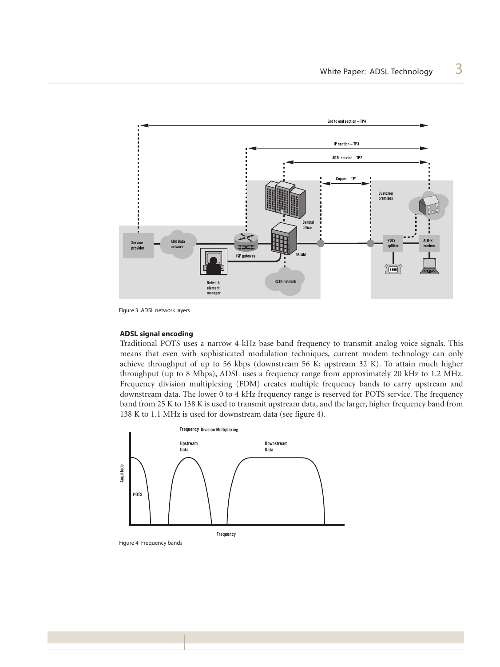

Figure 3 ADSL network layers

#### **ADSL signal encoding**

Traditional POTS uses a narrow 4-kHz base band frequency to transmit analog voice signals. This means that even with sophisticated modulation techniques, current modem technology can only achieve throughput of up to 56 kbps (downstream 56 K; upstream 32 K). To attain much higher throughput (up to 8 Mbps), ADSL uses a frequency range from approximately 20 kHz to 1.2 MHz. Frequency division multiplexing (FDM) creates multiple frequency bands to carry upstream and downstream data. The lower 0 to 4 kHz frequency range is reserved for POTS service. The frequency band from 25 K to 138 K is used to transmit upstream data, and the larger, higher frequency band from 138 K to 1.1 MHz is used for downstream data (see figure 4).



Figure 4 Frequency bands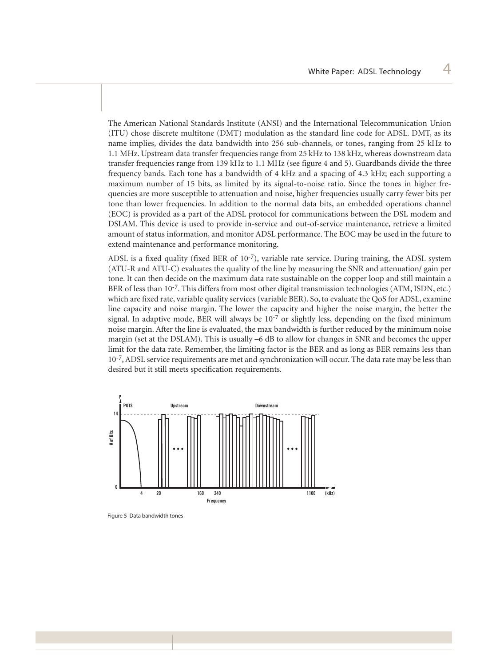The American National Standards Institute (ANSI) and the International Telecommunication Union (ITU) chose discrete multitone (DMT) modulation as the standard line code for ADSL. DMT, as its name implies, divides the data bandwidth into 256 sub-channels, or tones, ranging from 25 kHz to 1.1 MHz. Upstream data transfer frequencies range from 25 kHz to 138 kHz, whereas downstream data transfer frequencies range from 139 kHz to 1.1 MHz (see figure 4 and 5). Guardbands divide the three frequency bands. Each tone has a bandwidth of 4 kHz and a spacing of 4.3 kHz; each supporting a maximum number of 15 bits, as limited by its signal-to-noise ratio. Since the tones in higher frequencies are more susceptible to attenuation and noise, higher frequencies usually carry fewer bits per tone than lower frequencies. In addition to the normal data bits, an embedded operations channel (EOC) is provided as a part of the ADSL protocol for communications between the DSL modem and DSLAM. This device is used to provide in-service and out-of-service maintenance, retrieve a limited amount of status information, and monitor ADSL performance. The EOC may be used in the future to extend maintenance and performance monitoring.

ADSL is a fixed quality (fixed BER of  $10^{-7}$ ), variable rate service. During training, the ADSL system (ATU-R and ATU-C) evaluates the quality of the line by measuring the SNR and attenuation/ gain per tone. It can then decide on the maximum data rate sustainable on the copper loop and still maintain a BER of less than 10<sup>-7</sup>. This differs from most other digital transmission technologies (ATM, ISDN, etc.) which are fixed rate, variable quality services (variable BER). So, to evaluate the QoS for ADSL, examine line capacity and noise margin. The lower the capacity and higher the noise margin, the better the signal. In adaptive mode, BER will always be  $10^{-7}$  or slightly less, depending on the fixed minimum noise margin. After the line is evaluated, the max bandwidth is further reduced by the minimum noise margin (set at the DSLAM). This is usually –6 dB to allow for changes in SNR and becomes the upper limit for the data rate. Remember, the limiting factor is the BER and as long as BER remains less than 10<sup>-7</sup>, ADSL service requirements are met and synchronization will occur. The data rate may be less than desired but it still meets specification requirements.



Figure 5 Data bandwidth tones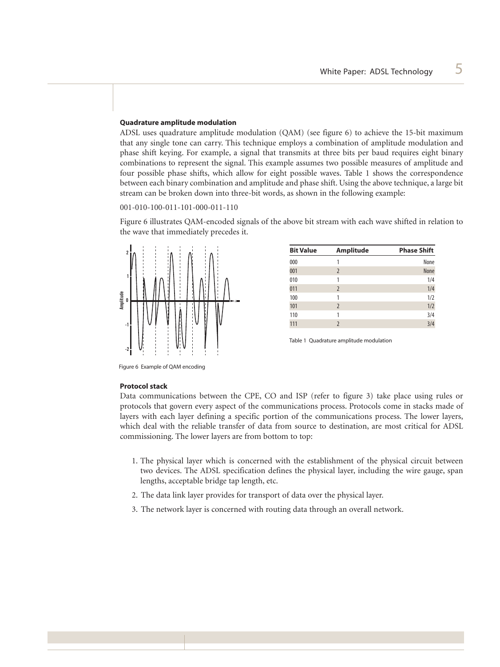## **Quadrature amplitude modulation**

ADSL uses quadrature amplitude modulation (QAM) (see figure 6) to achieve the 15-bit maximum that any single tone can carry. This technique employs a combination of amplitude modulation and phase shift keying. For example, a signal that transmits at three bits per baud requires eight binary combinations to represent the signal. This example assumes two possible measures of amplitude and four possible phase shifts, which allow for eight possible waves. Table 1 shows the correspondence between each binary combination and amplitude and phase shift. Using the above technique, a large bit stream can be broken down into three-bit words, as shown in the following example:

001-010-100-011-101-000-011-110

Figure 6 illustrates QAM-encoded signals of the above bit stream with each wave shifted in relation to the wave that immediately precedes it.



| <b>Bit Value</b> | <b>Amplitude</b>         | <b>Phase Shift</b> |
|------------------|--------------------------|--------------------|
| 000              |                          | None               |
| 001              | $\overline{2}$           | None               |
| 010              | 1                        | 1/4                |
| 011              | $\overline{2}$           | 1/4                |
| 100              | 1                        | 1/2                |
| 101              | $\overline{2}$           | 1/2                |
| 110              | 1                        | 3/4                |
| 111              | $\overline{\phantom{0}}$ | 3/4                |
|                  |                          |                    |

Table 1 Quadrature amplitude modulation

Figure 6 Example of QAM encoding

#### **Protocol stack**

Data communications between the CPE, CO and ISP (refer to figure 3) take place using rules or protocols that govern every aspect of the communications process. Protocols come in stacks made of layers with each layer defining a specific portion of the communications process. The lower layers, which deal with the reliable transfer of data from source to destination, are most critical for ADSL commissioning. The lower layers are from bottom to top:

- 1. The physical layer which is concerned with the establishment of the physical circuit between two devices. The ADSL specification defines the physical layer, including the wire gauge, span lengths, acceptable bridge tap length, etc.
- 2. The data link layer provides for transport of data over the physical layer.
- 3. The network layer is concerned with routing data through an overall network.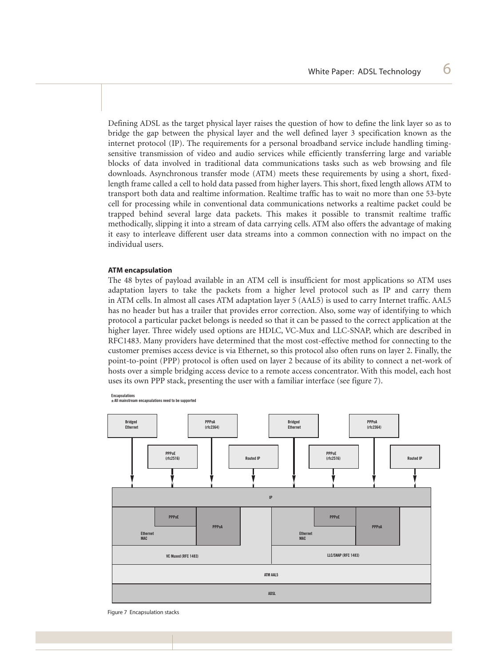Defining ADSL as the target physical layer raises the question of how to define the link layer so as to bridge the gap between the physical layer and the well defined layer 3 specification known as the internet protocol (IP). The requirements for a personal broadband service include handling timingsensitive transmission of video and audio services while efficiently transferring large and variable blocks of data involved in traditional data communications tasks such as web browsing and file downloads. Asynchronous transfer mode (ATM) meets these requirements by using a short, fixedlength frame called a cell to hold data passed from higher layers. This short, fixed length allows ATM to transport both data and realtime information. Realtime traffic has to wait no more than one 53-byte cell for processing while in conventional data communications networks a realtime packet could be trapped behind several large data packets. This makes it possible to transmit realtime traffic methodically, slipping it into a stream of data carrying cells. ATM also offers the advantage of making it easy to interleave different user data streams into a common connection with no impact on the individual users.

## **ATM encapsulation**

The 48 bytes of payload available in an ATM cell is insufficient for most applications so ATM uses adaptation layers to take the packets from a higher level protocol such as IP and carry them in ATM cells. In almost all cases ATM adaptation layer 5 (AAL5) is used to carry Internet traffic. AAL5 has no header but has a trailer that provides error correction. Also, some way of identifying to which protocol a particular packet belongs is needed so that it can be passed to the correct application at the higher layer. Three widely used options are HDLC, VC-Mux and LLC-SNAP, which are described in RFC1483. Many providers have determined that the most cost-effective method for connecting to the customer premises access device is via Ethernet, so this protocol also often runs on layer 2. Finally, the point-to-point (PPP) protocol is often used on layer 2 because of its ability to connect a net-work of hosts over a simple bridging access device to a remote access concentrator. With this model, each host uses its own PPP stack, presenting the user with a familiar interface (see figure 7).



**Encapsulations ± All mainstream encapsulations need to be supported**

Figure 7 Encapsulation stacks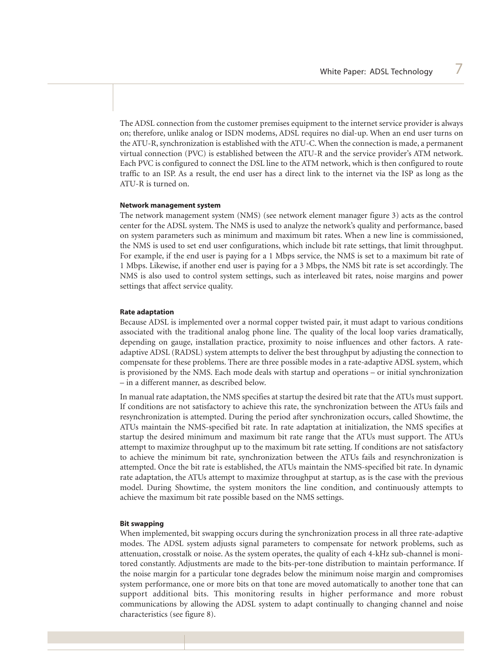The ADSL connection from the customer premises equipment to the internet service provider is always on; therefore, unlike analog or ISDN modems, ADSL requires no dial-up. When an end user turns on the ATU-R, synchronization is established with the ATU-C. When the connection is made, a permanent virtual connection (PVC) is established between the ATU-R and the service provider's ATM network. Each PVC is configured to connect the DSL line to the ATM network, which is then configured to route traffic to an ISP. As a result, the end user has a direct link to the internet via the ISP as long as the ATU-R is turned on.

#### **Network management system**

The network management system (NMS) (see network element manager figure 3) acts as the control center for the ADSL system. The NMS is used to analyze the network's quality and performance, based on system parameters such as minimum and maximum bit rates. When a new line is commissioned, the NMS is used to set end user configurations, which include bit rate settings, that limit throughput. For example, if the end user is paying for a 1 Mbps service, the NMS is set to a maximum bit rate of 1 Mbps. Likewise, if another end user is paying for a 3 Mbps, the NMS bit rate is set accordingly. The NMS is also used to control system settings, such as interleaved bit rates, noise margins and power settings that affect service quality.

## **Rate adaptation**

Because ADSL is implemented over a normal copper twisted pair, it must adapt to various conditions associated with the traditional analog phone line. The quality of the local loop varies dramatically, depending on gauge, installation practice, proximity to noise influences and other factors. A rateadaptive ADSL (RADSL) system attempts to deliver the best throughput by adjusting the connection to compensate for these problems. There are three possible modes in a rate-adaptive ADSL system, which is provisioned by the NMS. Each mode deals with startup and operations – or initial synchronization – in a different manner, as described below.

In manual rate adaptation, the NMS specifies at startup the desired bit rate that the ATUs must support. If conditions are not satisfactory to achieve this rate, the synchronization between the ATUs fails and resynchronization is attempted. During the period after synchronization occurs, called Showtime, the ATUs maintain the NMS-specified bit rate. In rate adaptation at initialization, the NMS specifies at startup the desired minimum and maximum bit rate range that the ATUs must support. The ATUs attempt to maximize throughput up to the maximum bit rate setting. If conditions are not satisfactory to achieve the minimum bit rate, synchronization between the ATUs fails and resynchronization is attempted. Once the bit rate is established, the ATUs maintain the NMS-specified bit rate. In dynamic rate adaptation, the ATUs attempt to maximize throughput at startup, as is the case with the previous model. During Showtime, the system monitors the line condition, and continuously attempts to achieve the maximum bit rate possible based on the NMS settings.

#### **Bit swapping**

When implemented, bit swapping occurs during the synchronization process in all three rate-adaptive modes. The ADSL system adjusts signal parameters to compensate for network problems, such as attenuation, crosstalk or noise. As the system operates, the quality of each 4-kHz sub-channel is monitored constantly. Adjustments are made to the bits-per-tone distribution to maintain performance. If the noise margin for a particular tone degrades below the minimum noise margin and compromises system performance, one or more bits on that tone are moved automatically to another tone that can support additional bits. This monitoring results in higher performance and more robust communications by allowing the ADSL system to adapt continually to changing channel and noise characteristics (see figure 8).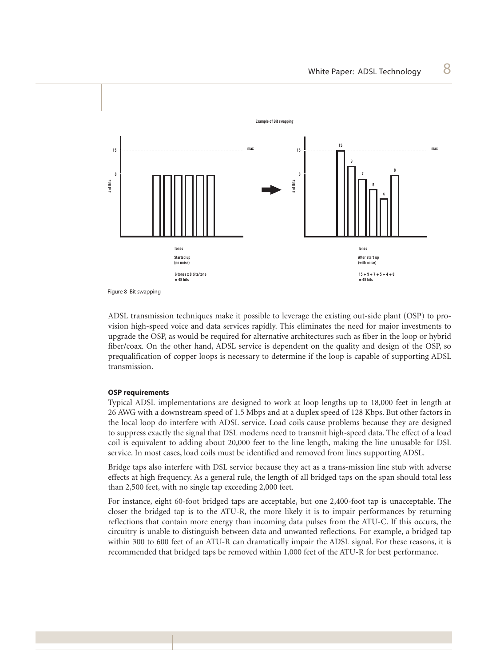

Figure 8 Bit swapping

ADSL transmission techniques make it possible to leverage the existing out-side plant (OSP) to provision high-speed voice and data services rapidly. This eliminates the need for major investments to upgrade the OSP, as would be required for alternative architectures such as fiber in the loop or hybrid fiber/coax. On the other hand, ADSL service is dependent on the quality and design of the OSP, so prequalification of copper loops is necessary to determine if the loop is capable of supporting ADSL transmission.

#### **OSP requirements**

Typical ADSL implementations are designed to work at loop lengths up to 18,000 feet in length at 26 AWG with a downstream speed of 1.5 Mbps and at a duplex speed of 128 Kbps. But other factors in the local loop do interfere with ADSL service. Load coils cause problems because they are designed to suppress exactly the signal that DSL modems need to transmit high-speed data. The effect of a load coil is equivalent to adding about 20,000 feet to the line length, making the line unusable for DSL service. In most cases, load coils must be identified and removed from lines supporting ADSL.

Bridge taps also interfere with DSL service because they act as a trans-mission line stub with adverse effects at high frequency. As a general rule, the length of all bridged taps on the span should total less than 2,500 feet, with no single tap exceeding 2,000 feet.

For instance, eight 60-foot bridged taps are acceptable, but one 2,400-foot tap is unacceptable. The closer the bridged tap is to the ATU-R, the more likely it is to impair performances by returning reflections that contain more energy than incoming data pulses from the ATU-C. If this occurs, the circuitry is unable to distinguish between data and unwanted reflections. For example, a bridged tap within 300 to 600 feet of an ATU-R can dramatically impair the ADSL signal. For these reasons, it is recommended that bridged taps be removed within 1,000 feet of the ATU-R for best performance.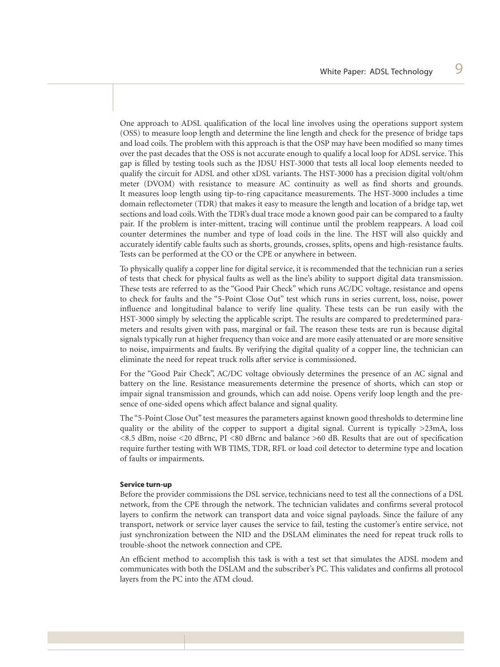One approach to ADSL qualification of the local line involves using the operations support system (OSS) to measure loop length and determine the line length and check for the presence of bridge taps and load coils. The problem with this approach is that the OSP may have been modified so many times over the past decades that the OSS is not accurate enough to qualify a local loop for ADSL service. This gap is filled by testing tools such as the JDSU HST-3000 that tests all local loop elements needed to qualify the circuit for ADSL and other xDSL variants. The HST-3000 has a precision digital volt/ohm meter (DVOM) with resistance to measure AC continuity as well as find shorts and grounds. It measures loop length using tip-to-ring capacitance measurements. The HST-3000 includes a time domain reflectometer (TDR) that makes it easy to measure the length and location of a bridge tap, wet sections and load coils. With the TDR's dual trace mode a known good pair can be compared to a faulty pair. If the problem is inter-mittent, tracing will continue until the problem reappears. A load coil counter determines the number and type of load coils in the line. The HST will also quickly and accurately identify cable faults such as shorts, grounds, crosses, splits, opens and high-resistance faults. Tests can be performed at the CO or the CPE or anywhere in between.

To physically qualify a copper line for digital service, it is recommended that the technician run a series of tests that check for physical faults as well as the line's ability to support digital data transmission. These tests are referred to as the "Good Pair Check" which runs AC/DC voltage, resistance and opens to check for faults and the "5-Point Close Out" test which runs in series current, loss, noise, power influence and longitudinal balance to verify line quality. These tests can be run easily with the HST-3000 simply by selecting the applicable script. The results are compared to predetermined parameters and results given with pass, marginal or fail. The reason these tests are run is because digital signals typically run at higher frequency than voice and are more easily attenuated or are more sensitive to noise, impairments and faults. By verifying the digital quality of a copper line, the technician can eliminate the need for repeat truck rolls after service is commissioned.

For the "Good Pair Check", AC/DC voltage obviously determines the presence of an AC signal and battery on the line. Resistance measurements determine the presence of shorts, which can stop or impair signal transmission and grounds, which can add noise. Opens verify loop length and the presence of one-sided opens which affect balance and signal quality.

The "5-Point Close Out" test measures the parameters against known good thresholds to determine line quality or the ability of the copper to support a digital signal. Current is typically  $>23$ mA, loss <8.5 dBm, noise <20 dBrnc, PI <80 dBrnc and balance >60 dB. Results that are out of specification require further testing with WB TIMS, TDR, RFL or load coil detector to determine type and location of faults or impairments.

#### **Service turn-up**

Before the provider commissions the DSL service, technicians need to test all the connections of a DSL network, from the CPE through the network. The technician validates and confirms several protocol layers to confirm the network can transport data and voice signal payloads. Since the failure of any transport, network or service layer causes the service to fail, testing the customer's entire service, not just synchronization between the NID and the DSLAM eliminates the need for repeat truck rolls to trouble-shoot the network connection and CPE.

An efficient method to accomplish this task is with a test set that simulates the ADSL modem and communicates with both the DSLAM and the subscriber's PC. This validates and confirms all protocol layers from the PC into the ATM cloud.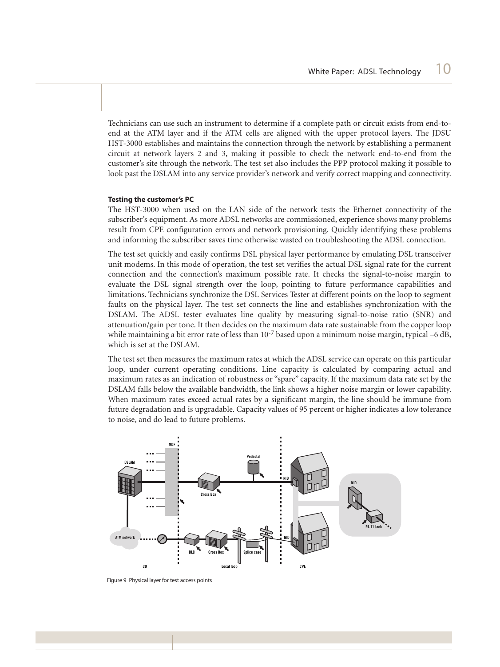Technicians can use such an instrument to determine if a complete path or circuit exists from end-toend at the ATM layer and if the ATM cells are aligned with the upper protocol layers. The JDSU HST-3000 establishes and maintains the connection through the network by establishing a permanent circuit at network layers 2 and 3, making it possible to check the network end-to-end from the customer's site through the network. The test set also includes the PPP protocol making it possible to look past the DSLAM into any service provider's network and verify correct mapping and connectivity.

## **Testing the customer's PC**

The HST-3000 when used on the LAN side of the network tests the Ethernet connectivity of the subscriber's equipment. As more ADSL networks are commissioned, experience shows many problems result from CPE configuration errors and network provisioning. Quickly identifying these problems and informing the subscriber saves time otherwise wasted on troubleshooting the ADSL connection.

The test set quickly and easily confirms DSL physical layer performance by emulating DSL transceiver unit modems. In this mode of operation, the test set verifies the actual DSL signal rate for the current connection and the connection's maximum possible rate. It checks the signal-to-noise margin to evaluate the DSL signal strength over the loop, pointing to future performance capabilities and limitations. Technicians synchronize the DSL Services Tester at different points on the loop to segment faults on the physical layer. The test set connects the line and establishes synchronization with the DSLAM. The ADSL tester evaluates line quality by measuring signal-to-noise ratio (SNR) and attenuation/gain per tone. It then decides on the maximum data rate sustainable from the copper loop while maintaining a bit error rate of less than  $10^{-7}$  based upon a minimum noise margin, typical –6 dB, which is set at the DSLAM.

The test set then measures the maximum rates at which the ADSL service can operate on this particular loop, under current operating conditions. Line capacity is calculated by comparing actual and maximum rates as an indication of robustness or "spare" capacity. If the maximum data rate set by the DSLAM falls below the available bandwidth, the link shows a higher noise margin or lower capability. When maximum rates exceed actual rates by a significant margin, the line should be immune from future degradation and is upgradable. Capacity values of 95 percent or higher indicates a low tolerance to noise, and do lead to future problems.



Figure 9 Physical layer for test access points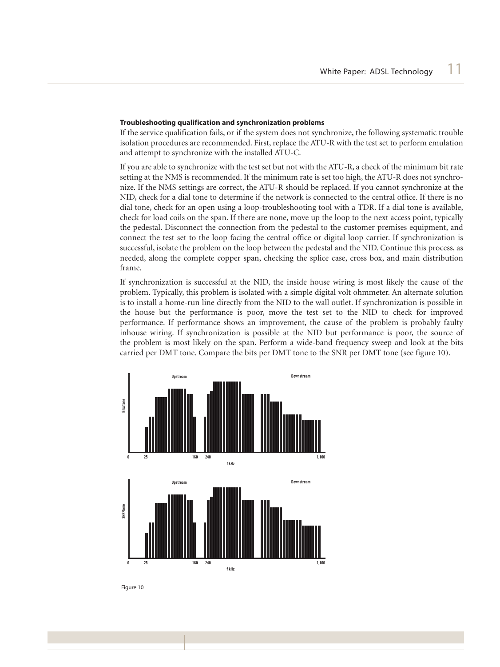## **Troubleshooting qualification and synchronization problems**

If the service qualification fails, or if the system does not synchronize, the following systematic trouble isolation procedures are recommended. First, replace the ATU-R with the test set to perform emulation and attempt to synchronize with the installed ATU-C.

If you are able to synchronize with the test set but not with the ATU-R, a check of the minimum bit rate setting at the NMS is recommended. If the minimum rate is set too high, the ATU-R does not synchronize. If the NMS settings are correct, the ATU-R should be replaced. If you cannot synchronize at the NID, check for a dial tone to determine if the network is connected to the central office. If there is no dial tone, check for an open using a loop-troubleshooting tool with a TDR. If a dial tone is available, check for load coils on the span. If there are none, move up the loop to the next access point, typically the pedestal. Disconnect the connection from the pedestal to the customer premises equipment, and connect the test set to the loop facing the central office or digital loop carrier. If synchronization is successful, isolate the problem on the loop between the pedestal and the NID. Continue this process, as needed, along the complete copper span, checking the splice case, cross box, and main distribution frame.

If synchronization is successful at the NID, the inside house wiring is most likely the cause of the problem. Typically, this problem is isolated with a simple digital volt ohmmeter. An alternate solution is to install a home-run line directly from the NID to the wall outlet. If synchronization is possible in the house but the performance is poor, move the test set to the NID to check for improved performance. If performance shows an improvement, the cause of the problem is probably faulty inhouse wiring. If synchronization is possible at the NID but performance is poor, the source of the problem is most likely on the span. Perform a wide-band frequency sweep and look at the bits carried per DMT tone. Compare the bits per DMT tone to the SNR per DMT tone (see figure 10).



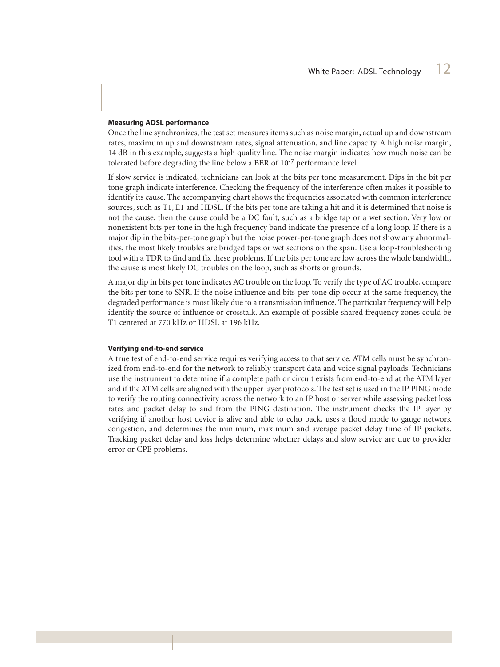#### **Measuring ADSL performance**

Once the line synchronizes, the test set measures items such as noise margin, actual up and downstream rates, maximum up and downstream rates, signal attenuation, and line capacity. A high noise margin, 14 dB in this example, suggests a high quality line. The noise margin indicates how much noise can be tolerated before degrading the line below a BER of 10-7 performance level.

If slow service is indicated, technicians can look at the bits per tone measurement. Dips in the bit per tone graph indicate interference. Checking the frequency of the interference often makes it possible to identify its cause. The accompanying chart shows the frequencies associated with common interference sources, such as T1, E1 and HDSL. If the bits per tone are taking a hit and it is determined that noise is not the cause, then the cause could be a DC fault, such as a bridge tap or a wet section. Very low or nonexistent bits per tone in the high frequency band indicate the presence of a long loop. If there is a major dip in the bits-per-tone graph but the noise power-per-tone graph does not show any abnormalities, the most likely troubles are bridged taps or wet sections on the span. Use a loop-troubleshooting tool with a TDR to find and fix these problems. If the bits per tone are low across the whole bandwidth, the cause is most likely DC troubles on the loop, such as shorts or grounds.

A major dip in bits per tone indicates AC trouble on the loop. To verify the type of AC trouble, compare the bits per tone to SNR. If the noise influence and bits-per-tone dip occur at the same frequency, the degraded performance is most likely due to a transmission influence. The particular frequency will help identify the source of influence or crosstalk. An example of possible shared frequency zones could be T1 centered at 770 kHz or HDSL at 196 kHz.

#### **Verifying end-to-end service**

A true test of end-to-end service requires verifying access to that service. ATM cells must be synchronized from end-to-end for the network to reliably transport data and voice signal payloads. Technicians use the instrument to determine if a complete path or circuit exists from end-to-end at the ATM layer and if the ATM cells are aligned with the upper layer protocols. The test set is used in the IP PING mode to verify the routing connectivity across the network to an IP host or server while assessing packet loss rates and packet delay to and from the PING destination. The instrument checks the IP layer by verifying if another host device is alive and able to echo back, uses a flood mode to gauge network congestion, and determines the minimum, maximum and average packet delay time of IP packets. Tracking packet delay and loss helps determine whether delays and slow service are due to provider error or CPE problems.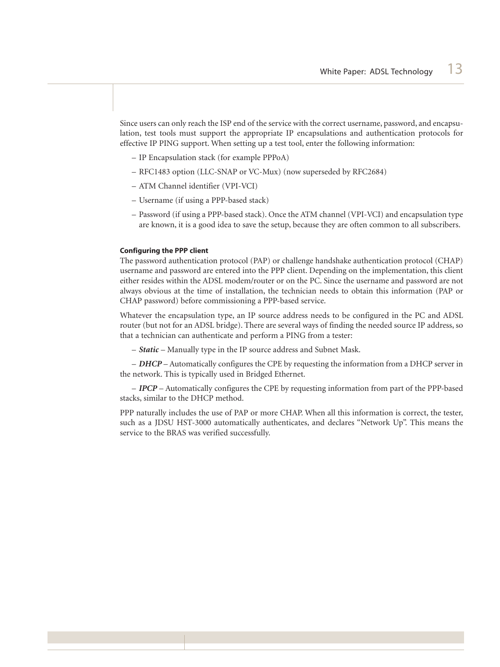Since users can only reach the ISP end of the service with the correct username, password, and encapsulation, test tools must support the appropriate IP encapsulations and authentication protocols for effective IP PING support. When setting up a test tool, enter the following information:

- IP Encapsulation stack (for example PPPoA)
- RFC1483 option (LLC-SNAP or VC-Mux) (now superseded by RFC2684)
- ATM Channel identifier (VPI-VCI)
- Username (if using a PPP-based stack)
- Password (if using a PPP-based stack). Once the ATM channel (VPI-VCI) and encapsulation type are known, it is a good idea to save the setup, because they are often common to all subscribers.

## **Configuring the PPP client**

The password authentication protocol (PAP) or challenge handshake authentication protocol (CHAP) username and password are entered into the PPP client. Depending on the implementation, this client either resides within the ADSL modem/router or on the PC. Since the username and password are not always obvious at the time of installation, the technician needs to obtain this information (PAP or CHAP password) before commissioning a PPP-based service.

Whatever the encapsulation type, an IP source address needs to be configured in the PC and ADSL router (but not for an ADSL bridge). There are several ways of finding the needed source IP address, so that a technician can authenticate and perform a PING from a tester:

– *Static* – Manually type in the IP source address and Subnet Mask.

– *DHCP* – Automatically configures the CPE by requesting the information from a DHCP server in the network. This is typically used in Bridged Ethernet.

– *IPCP* – Automatically configures the CPE by requesting information from part of the PPP-based stacks, similar to the DHCP method.

PPP naturally includes the use of PAP or more CHAP. When all this information is correct, the tester, such as a JDSU HST-3000 automatically authenticates, and declares "Network Up". This means the service to the BRAS was verified successfully.